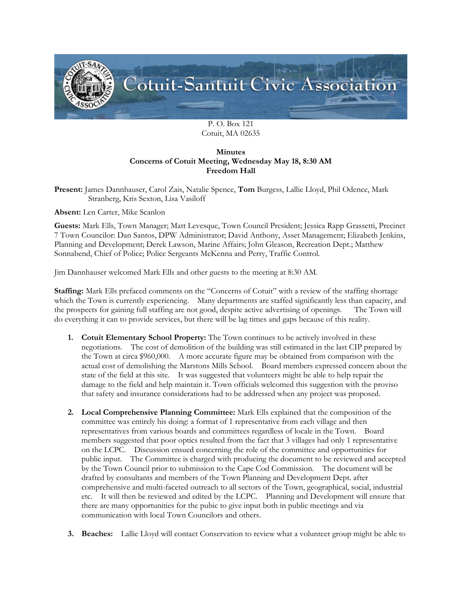

P. O. Box 121 Cotuit, MA 02635

## **Minutes Concerns of Cotuit Meeting, Wednesday May 18, 8:30 AM Freedom Hall**

**Present:** James Dannhauser, Carol Zais, Natalie Spence, **Tom** Burgess, Lallie Lloyd, Phil Odence, Mark Stranberg, Kris Sexton, Lisa Vasiloff

**Absent:** Len Carter, Mike Scanlon

**Guests:** Mark Ells, Town Manager; Matt Levesque, Town Council President; Jessica Rapp Grassetti, Precinct 7 Town Councilor: Dan Santos, DPW Administrator; David Anthony, Asset Management; Elizabeth Jenkins, Planning and Development; Derek Lawson, Marine Affairs; John Gleason, Recreation Dept.; Matthew Sonnabend, Chief of Police; Police Sergeants McKenna and Perry, Traffic Control.

Jim Dannhauser welcomed Mark Ells and other guests to the meeting at 8:30 AM.

**Staffing:** Mark Ells prefaced comments on the "Concerns of Cotuit" with a review of the staffing shortage which the Town is currently experiencing. Many departments are staffed significantly less than capacity, and the prospects for gaining full staffing are not good, despite active advertising of openings. The Town will do everything it can to provide services, but there will be lag times and gaps because of this reality.

- **1. Cotuit Elementary School Property:** The Town continues to be actively involved in these negotiations. The cost of demolition of the building was still estimated in the last CIP prepared by the Town at circa \$960,000. A more accurate figure may be obtained from comparison with the actual cost of demolishing the Marstons Mills School. Board members expressed concern about the state of the field at this site. It was suggested that volunteers might be able to help repair the damage to the field and help maintain it. Town officials welcomed this suggestion with the proviso that safety and insurance considerations had to be addressed when any project was proposed.
- **2. Local Comprehensive Planning Committee:** Mark Ells explained that the composition of the committee was entirely his doing: a format of 1 representative from each village and then representatives from various boards and committees regardless of locale in the Town. Board members suggested that poor optics resulted from the fact that 3 villages had only 1 representative on the LCPC. Discussion ensued concerning the role of the committee and opportunities for public input. The Committee is charged with producing the document to be reviewed and accepted by the Town Council prior to submission to the Cape Cod Commission. The document will be drafted by consultants and members of the Town Planning and Development Dept. after comprehensive and multi-faceted outreach to all sectors of the Town, geographical, social, industrial etc. It will then be reviewed and edited by the LCPC. Planning and Development will ensure that there are many opportunities for the pubic to give input both in public meetings and via communication with local Town Councilors and others.
- **3. Beaches:** Lallie Lloyd will contact Conservation to review what a volunteer group might be able to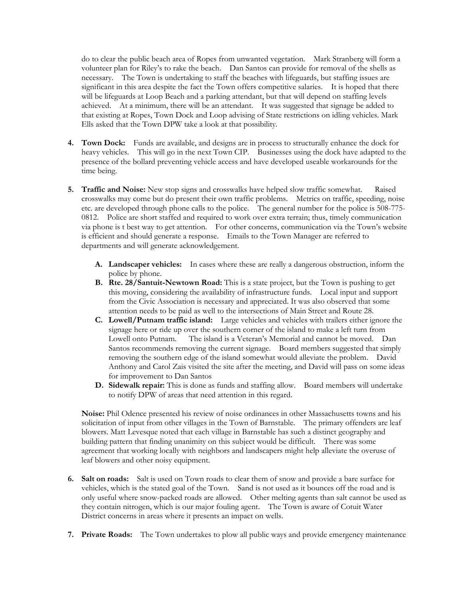do to clear the public beach area of Ropes from unwanted vegetation. Mark Stranberg will form a volunteer plan for Riley's to rake the beach. Dan Santos can provide for removal of the shells as necessary. The Town is undertaking to staff the beaches with lifeguards, but staffing issues are significant in this area despite the fact the Town offers competitive salaries. It is hoped that there will be lifeguards at Loop Beach and a parking attendant, but that will depend on staffing levels achieved. At a minimum, there will be an attendant. It was suggested that signage be added to that existing at Ropes, Town Dock and Loop advising of State restrictions on idling vehicles. Mark Ells asked that the Town DPW take a look at that possibility.

- **4. Town Dock:** Funds are available, and designs are in process to structurally enhance the dock for heavy vehicles. This will go in the next Town CIP. Businesses using the dock have adapted to the presence of the bollard preventing vehicle access and have developed useable workarounds for the time being.
- **5. Traffic and Noise:** New stop signs and crosswalks have helped slow traffic somewhat. Raised crosswalks may come but do present their own traffic problems. Metrics on traffic, speeding, noise etc. are developed through phone calls to the police. The general number for the police is 508-775- 0812. Police are short staffed and required to work over extra terrain; thus, timely communication via phone is t best way to get attention. For other concerns, communication via the Town's website is efficient and should generate a response. Emails to the Town Manager are referred to departments and will generate acknowledgement.
	- **A. Landscaper vehicles:** In cases where these are really a dangerous obstruction, inform the police by phone.
	- **B. Rte. 28/Santuit-Newtown Road:** This is a state project, but the Town is pushing to get this moving, considering the availability of infrastructure funds. Local input and support from the Civic Association is necessary and appreciated. It was also observed that some attention needs to be paid as well to the intersections of Main Street and Route 28.
	- **C. Lowell/Putnam traffic island:** Large vehicles and vehicles with trailers either ignore the signage here or ride up over the southern corner of the island to make a left turn from Lowell onto Putnam. The island is a Veteran's Memorial and cannot be moved. Dan Santos recommends removing the current signage. Board members suggested that simply removing the southern edge of the island somewhat would alleviate the problem. David Anthony and Carol Zais visited the site after the meeting, and David will pass on some ideas for improvement to Dan Santos
	- **D. Sidewalk repair:** This is done as funds and staffing allow. Board members will undertake to notify DPW of areas that need attention in this regard.

**Noise:** Phil Odence presented his review of noise ordinances in other Massachusetts towns and his solicitation of input from other villages in the Town of Barnstable. The primary offenders are leaf blowers. Matt Levesque noted that each village in Barnstable has such a distinct geography and building pattern that finding unanimity on this subject would be difficult. There was some agreement that working locally with neighbors and landscapers might help alleviate the overuse of leaf blowers and other noisy equipment.

- **6. Salt on roads:** Salt is used on Town roads to clear them of snow and provide a bare surface for vehicles, which is the stated goal of the Town. Sand is not used as it bounces off the road and is only useful where snow-packed roads are allowed. Other melting agents than salt cannot be used as they contain nitrogen, which is our major fouling agent. The Town is aware of Cotuit Water District concerns in areas where it presents an impact on wells.
- **7. Private Roads:** The Town undertakes to plow all public ways and provide emergency maintenance